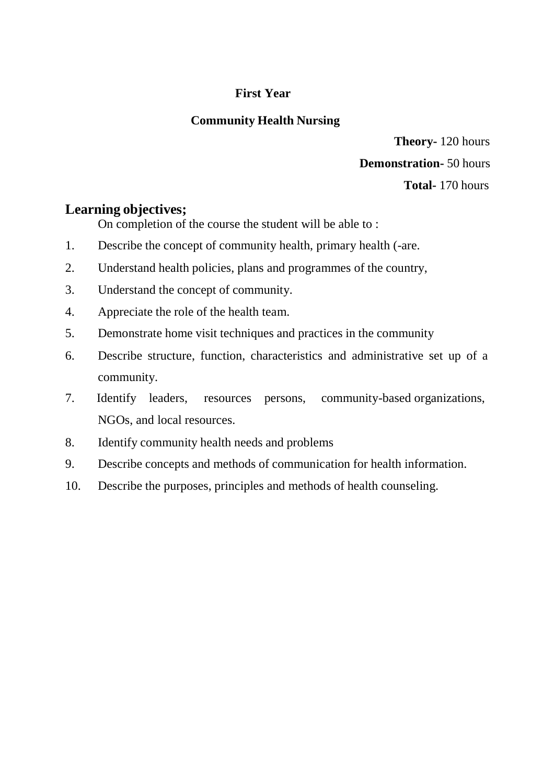# **First Year**

## **Community Health Nursing**

**Theory-** 120 hours **Demonstration-** 50 hours **Total-** 170 hours

# **Learning objectives;**

On completion of the course the student will be able to :

- 1. Describe the concept of community health, primary health (-are.
- 2. Understand health policies, plans and programmes of the country,
- 3. Understand the concept of community.
- 4. Appreciate the role of the health team.
- 5. Demonstrate home visit techniques and practices in the community
- 6. Describe structure, function, characteristics and administrative set up of a community.
- 7. Identify leaders, resources persons, community-based organizations, NGOs, and local resources.
- 8. Identify community health needs and problems
- 9. Describe concepts and methods of communication for health information.
- 10. Describe the purposes, principles and methods of health counseling.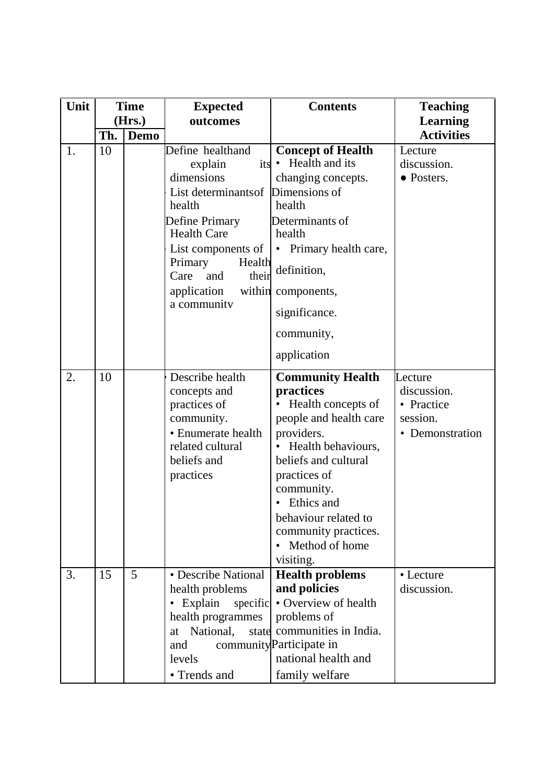| Unit |     | <b>Time</b> | <b>Expected</b>                                                                                                                                                                                                             | <b>Contents</b>                                                                                                                                                                                                                                                                                       | <b>Teaching</b>                                                     |
|------|-----|-------------|-----------------------------------------------------------------------------------------------------------------------------------------------------------------------------------------------------------------------------|-------------------------------------------------------------------------------------------------------------------------------------------------------------------------------------------------------------------------------------------------------------------------------------------------------|---------------------------------------------------------------------|
|      |     | (Hrs.)      | outcomes                                                                                                                                                                                                                    |                                                                                                                                                                                                                                                                                                       | <b>Learning</b>                                                     |
|      | Th. | <b>Demo</b> |                                                                                                                                                                                                                             |                                                                                                                                                                                                                                                                                                       | <b>Activities</b>                                                   |
| 1.   | 10  |             | Define healthand<br>its<br>explain<br>dimensions<br>List determinants of<br>health<br>Define Primary<br><b>Health Care</b><br>List components of<br>Primary<br>Health<br>their<br>Care<br>and<br>application<br>a community | <b>Concept of Health</b><br>• Health and its<br>changing concepts.<br>Dimensions of<br>health<br>Determinants of<br>health<br>• Primary health care,<br>definition,<br>within components,<br>significance.<br>community,<br>application                                                               | Lecture<br>discussion.<br>• Posters.                                |
| 2.   | 10  |             | Describe health<br>concepts and<br>practices of<br>community.<br>• Enumerate health<br>related cultural<br>beliefs and<br>practices                                                                                         | <b>Community Health</b><br>practices<br>Health concepts of<br>people and health care<br>providers.<br>Health behaviours,<br>beliefs and cultural<br>practices of<br>community.<br>Ethics and<br>$\bullet$<br>behaviour related to<br>community practices.<br>Method of home<br>$\bullet$<br>visiting. | Lecture<br>discussion.<br>• Practice<br>session.<br>• Demonstration |
| 3.   | 15  | 5           | • Describe National<br>health problems<br>• Explain<br>specific<br>health programmes<br>National,<br>at<br>and<br>levels<br>• Trends and                                                                                    | <b>Health problems</b><br>and policies<br>• Overview of health<br>problems of<br>state communities in India.<br>community Participate in<br>national health and<br>family welfare                                                                                                                     | • Lecture<br>discussion.                                            |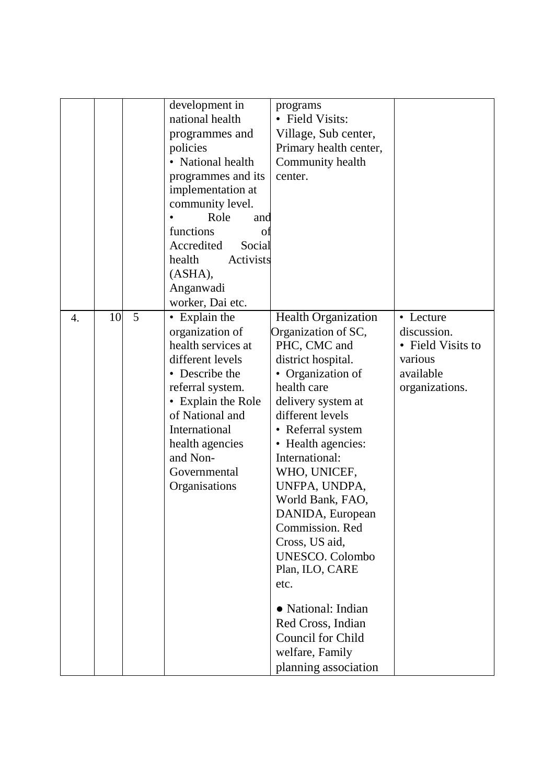|    |    |   | development in                          | programs                   |                   |
|----|----|---|-----------------------------------------|----------------------------|-------------------|
|    |    |   | national health                         | • Field Visits:            |                   |
|    |    |   | programmes and                          | Village, Sub center,       |                   |
|    |    |   | policies                                | Primary health center,     |                   |
|    |    |   | • National health                       | Community health           |                   |
|    |    |   |                                         | center.                    |                   |
|    |    |   | programmes and its<br>implementation at |                            |                   |
|    |    |   |                                         |                            |                   |
|    |    |   | community level.<br>Role                |                            |                   |
|    |    |   | and<br>functions                        |                            |                   |
|    |    |   | O1<br>Accredited<br>Social              |                            |                   |
|    |    |   | health<br>Activists                     |                            |                   |
|    |    |   |                                         |                            |                   |
|    |    |   | (ASHA),                                 |                            |                   |
|    |    |   | Anganwadi                               |                            |                   |
|    |    |   | worker, Dai etc.                        |                            |                   |
| 4. | 10 | 5 | • Explain the                           | <b>Health Organization</b> | • Lecture         |
|    |    |   | organization of                         | Organization of SC,        | discussion.       |
|    |    |   | health services at                      | PHC, CMC and               | • Field Visits to |
|    |    |   | different levels                        | district hospital.         | various           |
|    |    |   | • Describe the                          | • Organization of          | available         |
|    |    |   | referral system.                        | health care                | organizations.    |
|    |    |   | • Explain the Role                      | delivery system at         |                   |
|    |    |   | of National and                         | different levels           |                   |
|    |    |   | International                           | • Referral system          |                   |
|    |    |   | health agencies                         | • Health agencies:         |                   |
|    |    |   | and Non-                                | International:             |                   |
|    |    |   | Governmental                            | WHO, UNICEF,               |                   |
|    |    |   | Organisations                           | UNFPA, UNDPA,              |                   |
|    |    |   |                                         | World Bank, FAO,           |                   |
|    |    |   |                                         | DANIDA, European           |                   |
|    |    |   |                                         | Commission. Red            |                   |
|    |    |   |                                         | Cross, US aid,             |                   |
|    |    |   |                                         | <b>UNESCO.</b> Colombo     |                   |
|    |    |   |                                         | Plan, ILO, CARE            |                   |
|    |    |   |                                         | etc.                       |                   |
|    |    |   |                                         | • National: Indian         |                   |
|    |    |   |                                         | Red Cross, Indian          |                   |
|    |    |   |                                         | Council for Child          |                   |
|    |    |   |                                         |                            |                   |
|    |    |   |                                         | welfare, Family            |                   |
|    |    |   |                                         | planning association       |                   |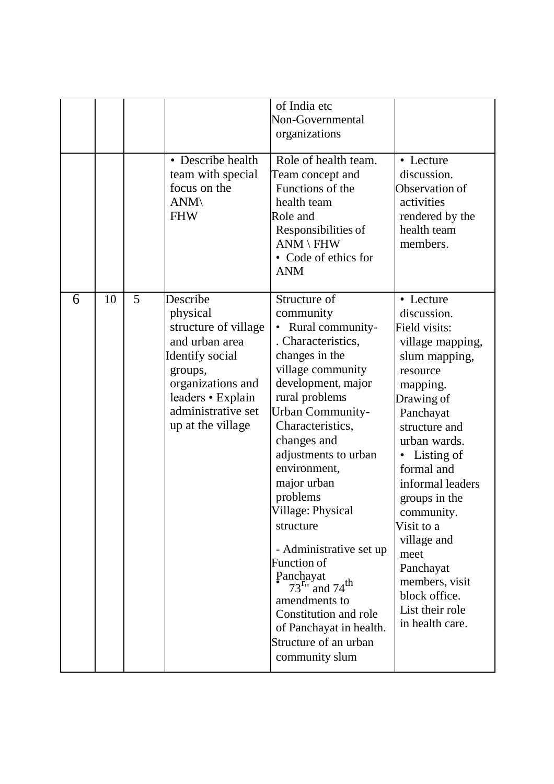|   |    |   |                                                                                                                                                                                   | of India etc<br>Non-Governmental<br>organizations                                                                                                                                                                                                                                                                                                                                                                                                                                                                        |                                                                                                                                                                                                                                                                                                                                                                                           |
|---|----|---|-----------------------------------------------------------------------------------------------------------------------------------------------------------------------------------|--------------------------------------------------------------------------------------------------------------------------------------------------------------------------------------------------------------------------------------------------------------------------------------------------------------------------------------------------------------------------------------------------------------------------------------------------------------------------------------------------------------------------|-------------------------------------------------------------------------------------------------------------------------------------------------------------------------------------------------------------------------------------------------------------------------------------------------------------------------------------------------------------------------------------------|
|   |    |   | • Describe health<br>team with special<br>focus on the<br>$\text{ANM}\setminus$<br><b>FHW</b>                                                                                     | Role of health team.<br>Team concept and<br>Functions of the<br>health team<br>Role and<br>Responsibilities of<br>$ANM \setminus FHW$<br>• Code of ethics for<br><b>ANM</b>                                                                                                                                                                                                                                                                                                                                              | • Lecture<br>discussion.<br>Observation of<br>activities<br>rendered by the<br>health team<br>members.                                                                                                                                                                                                                                                                                    |
| 6 | 10 | 5 | Describe<br>physical<br>structure of village<br>and urban area<br>Identify social<br>groups,<br>organizations and<br>leaders • Explain<br>administrative set<br>up at the village | Structure of<br>community<br>• Rural community-<br>. Characteristics,<br>changes in the<br>village community<br>development, major<br>rural problems<br>Urban Community-<br>Characteristics,<br>changes and<br>adjustments to urban<br>environment,<br>major urban<br>problems<br>Village: Physical<br>structure<br>- Administrative set up<br><b>Function of</b><br>Panchayat<br>$73^{r}$ and $74^{th}$<br>amendments to<br>Constitution and role<br>of Panchayat in health.<br>Structure of an urban<br>community slum | • Lecture<br>discussion.<br>Field visits:<br>village mapping,<br>slum mapping,<br>resource<br>mapping.<br>Drawing of<br>Panchayat<br>structure and<br>urban wards.<br>Listing of<br>$\bullet$<br>formal and<br>informal leaders<br>groups in the<br>community.<br>Visit to a<br>village and<br>meet<br>Panchayat<br>members, visit<br>block office.<br>List their role<br>in health care. |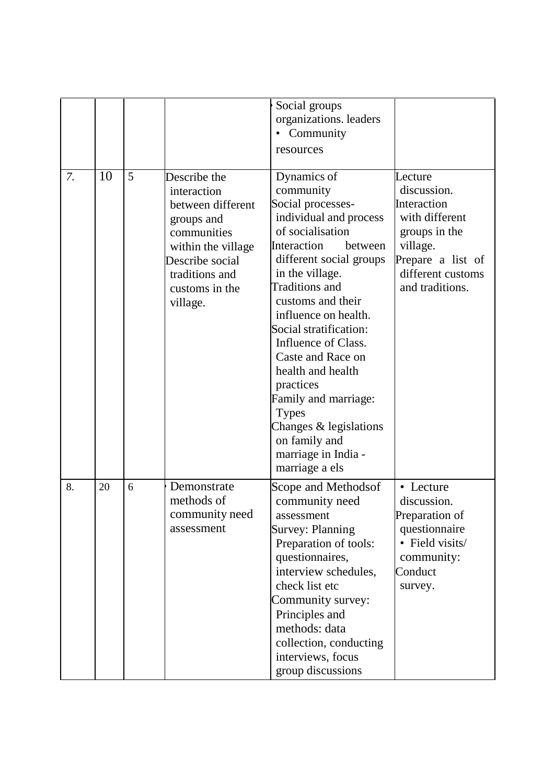|    |    |   |                                                                                                                                                                        | Social groups<br>organizations. leaders<br>• Community                                                                                                                                                                                                                                                                                                                                                                                                                        |                                                                                                                                                   |
|----|----|---|------------------------------------------------------------------------------------------------------------------------------------------------------------------------|-------------------------------------------------------------------------------------------------------------------------------------------------------------------------------------------------------------------------------------------------------------------------------------------------------------------------------------------------------------------------------------------------------------------------------------------------------------------------------|---------------------------------------------------------------------------------------------------------------------------------------------------|
|    |    |   |                                                                                                                                                                        | resources                                                                                                                                                                                                                                                                                                                                                                                                                                                                     |                                                                                                                                                   |
| 7. | 10 | 5 | Describe the<br>interaction<br>between different<br>groups and<br>communities<br>within the village<br>Describe social<br>traditions and<br>customs in the<br>village. | Dynamics of<br>community<br>Social processes-<br>individual and process<br>of socialisation<br>Interaction<br>between<br>different social groups<br>in the village.<br><b>Traditions</b> and<br>customs and their<br>influence on health.<br>Social stratification:<br>Influence of Class.<br>Caste and Race on<br>health and health<br>practices<br>Family and marriage:<br><b>Types</b><br>Changes & legislations<br>on family and<br>marriage in India -<br>marriage a els | Lecture<br>discussion.<br>Interaction<br>with different<br>groups in the<br>village.<br>Prepare a list of<br>different customs<br>and traditions. |
| 8. | 20 | 6 | Demonstrate<br>methods of<br>community need<br>assessment                                                                                                              | Scope and Methodsof<br>community need<br>assessment<br><b>Survey: Planning</b><br>Preparation of tools:<br>questionnaires,<br>interview schedules,<br>check list etc<br>Community survey:<br>Principles and<br>methods: data<br>collection, conducting<br>interviews, focus<br>group discussions                                                                                                                                                                              | • Lecture<br>discussion.<br>Preparation of<br>questionnaire<br>• Field visits/<br>community:<br>Conduct<br>survey.                                |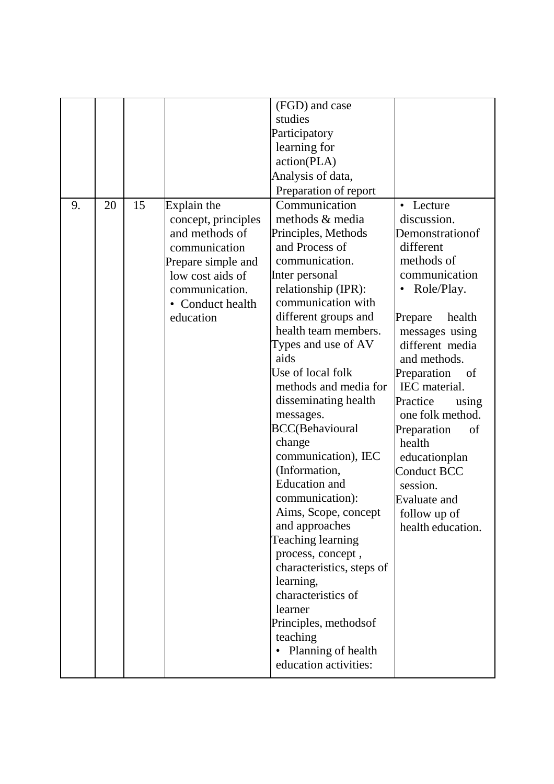|    |    |    |                                                                                                                                                                    | (FGD) and case<br>studies<br>Participatory<br>learning for<br>action(PLA)<br>Analysis of data,<br>Preparation of report                                                                                                                                                                                                                                                                                                                                                                                                                                                                                                                                                                                       |                                                                                                                                                                                                                                                                                                                                                                                                                           |
|----|----|----|--------------------------------------------------------------------------------------------------------------------------------------------------------------------|---------------------------------------------------------------------------------------------------------------------------------------------------------------------------------------------------------------------------------------------------------------------------------------------------------------------------------------------------------------------------------------------------------------------------------------------------------------------------------------------------------------------------------------------------------------------------------------------------------------------------------------------------------------------------------------------------------------|---------------------------------------------------------------------------------------------------------------------------------------------------------------------------------------------------------------------------------------------------------------------------------------------------------------------------------------------------------------------------------------------------------------------------|
| 9. | 20 | 15 | Explain the<br>concept, principles<br>and methods of<br>communication<br>Prepare simple and<br>low cost aids of<br>communication.<br>• Conduct health<br>education | Communication<br>methods & media<br>Principles, Methods<br>and Process of<br>communication.<br>Inter personal<br>relationship (IPR):<br>communication with<br>different groups and<br>health team members.<br>Types and use of AV<br>aids<br>Use of local folk<br>methods and media for<br>disseminating health<br>messages.<br><b>BCC</b> (Behavioural<br>change<br>communication), IEC<br>(Information,<br><b>Education</b> and<br>communication):<br>Aims, Scope, concept<br>and approaches<br>Teaching learning<br>process, concept,<br>characteristics, steps of<br>learning,<br>characteristics of<br>learner<br>Principles, methods of<br>teaching<br>Planning of health<br>٠<br>education activities: | • Lecture<br>discussion.<br>Demonstrationof<br>different<br>methods of<br>communication<br>Role/Play.<br>$\bullet$<br>Prepare<br>health<br>messages using<br>different media<br>and methods.<br>Preparation<br>of<br>IEC material.<br>Practice<br>using<br>one folk method.<br>Preparation<br>of<br>health<br>educationplan<br><b>Conduct BCC</b><br>session.<br><b>Evaluate and</b><br>follow up of<br>health education. |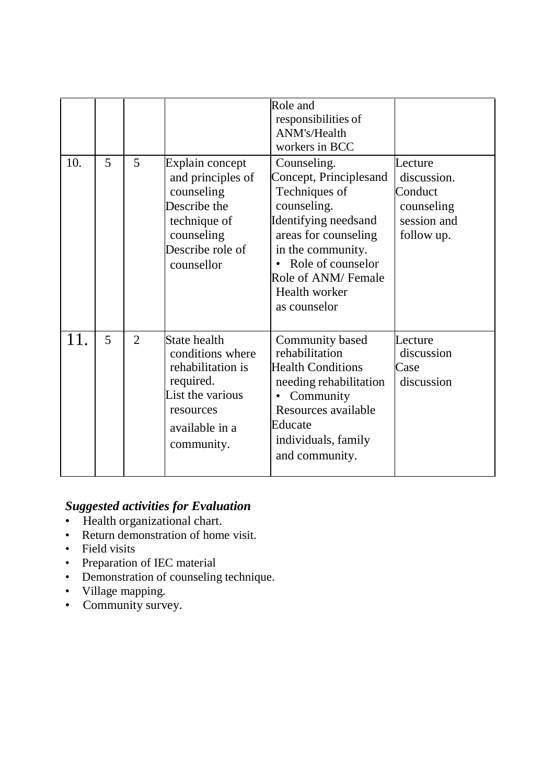| 10. | 5 | 5              | Explain concept<br>and principles of<br>counseling<br>Describe the<br>technique of<br>counseling<br>Describe role of<br>counsellor         | Role and<br>responsibilities of<br>ANM's/Health<br>workers in BCC<br>Counseling.<br>Concept, Principlesand<br>Techniques of<br>counseling.<br>Identifying needsand<br>areas for counseling<br>in the community.<br>Role of counselor<br>Role of ANM/ Female<br>Health worker<br>as counselor | Lecture<br>discussion.<br>Conduct<br>counseling<br>session and<br>follow up. |
|-----|---|----------------|--------------------------------------------------------------------------------------------------------------------------------------------|----------------------------------------------------------------------------------------------------------------------------------------------------------------------------------------------------------------------------------------------------------------------------------------------|------------------------------------------------------------------------------|
|     | 5 | $\overline{2}$ | <b>State health</b><br>conditions where<br>rehabilitation is<br>required.<br>List the various<br>resources<br>available in a<br>community. | Community based<br>rehabilitation<br><b>Health Conditions</b><br>needing rehabilitation<br>Community<br>Resources available<br>Educate<br>individuals, family<br>and community.                                                                                                              | Lecture<br>discussion<br>Case<br>discussion                                  |

# *Suggested activities for Evaluation*

- Health organizational chart.
- Return demonstration of home visit.
- Field visits
- Preparation of IEC material
- Demonstration of counseling technique.
- Village mapping.
- Community survey.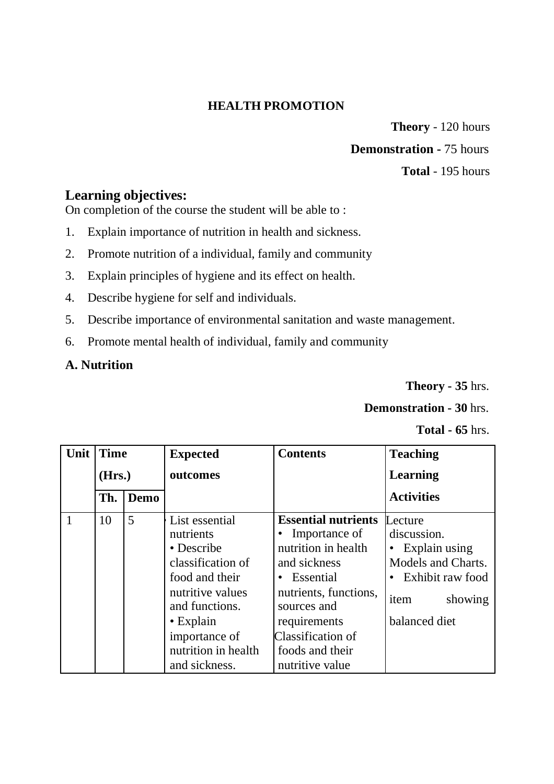#### **HEALTH PROMOTION**

**Theory** - 120 hours

## **Demonstration -** 75 hours

#### **Total** - 195 hours

## **Learning objectives:**

On completion of the course the student will be able to :

- 1. Explain importance of nutrition in health and sickness.
- 2. Promote nutrition of a individual, family and community
- 3. Explain principles of hygiene and its effect on health.
- 4. Describe hygiene for self and individuals.
- 5. Describe importance of environmental sanitation and waste management.
- 6. Promote mental health of individual, family and community
- **A. Nutrition**

**Theory - 35** hrs.

#### **Demonstration - 30** hrs.

**Total - 65** hrs.

| Unit | <b>Time</b><br>(Hrs.) |      | <b>Expected</b><br>outcomes                                                                                                                                                                        | <b>Contents</b>                                                                                                                                                                                                        | <b>Teaching</b><br>Learning                                                                                                     |
|------|-----------------------|------|----------------------------------------------------------------------------------------------------------------------------------------------------------------------------------------------------|------------------------------------------------------------------------------------------------------------------------------------------------------------------------------------------------------------------------|---------------------------------------------------------------------------------------------------------------------------------|
|      | Th.                   | Demo |                                                                                                                                                                                                    |                                                                                                                                                                                                                        | <b>Activities</b>                                                                                                               |
|      | 10                    | 5    | List essential<br>nutrients<br>• Describe<br>classification of<br>food and their<br>nutritive values<br>and functions.<br>$\cdot$ Explain<br>importance of<br>nutrition in health<br>and sickness. | <b>Essential nutrients</b><br>• Importance of<br>nutrition in health<br>and sickness<br>• Essential<br>nutrients, functions,<br>sources and<br>requirements<br>Classification of<br>foods and their<br>nutritive value | Lecture<br>discussion.<br>$\bullet$ Explain using<br>Models and Charts.<br>Exhibit raw food<br>item<br>showing<br>balanced diet |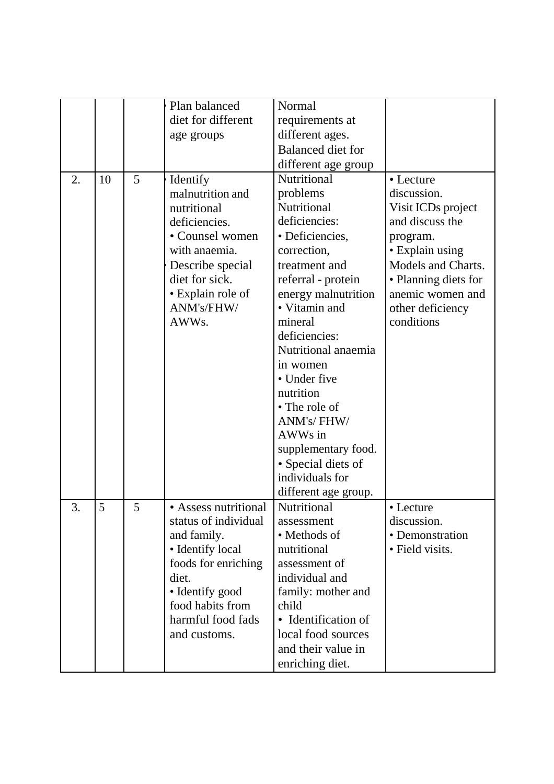|    |    |   | Plan balanced        | Normal                   |                      |
|----|----|---|----------------------|--------------------------|----------------------|
|    |    |   | diet for different   | requirements at          |                      |
|    |    |   | age groups           | different ages.          |                      |
|    |    |   |                      | <b>Balanced</b> diet for |                      |
|    |    |   |                      | different age group      |                      |
| 2. | 10 | 5 | Identify             | Nutritional              | • Lecture            |
|    |    |   | malnutrition and     | problems                 | discussion.          |
|    |    |   | nutritional          | Nutritional              | Visit ICDs project   |
|    |    |   | deficiencies.        | deficiencies:            | and discuss the      |
|    |    |   | • Counsel women      | · Deficiencies,          | program.             |
|    |    |   | with anaemia.        | correction,              | • Explain using      |
|    |    |   | Describe special     | treatment and            | Models and Charts.   |
|    |    |   | diet for sick.       | referral - protein       | · Planning diets for |
|    |    |   | · Explain role of    | energy malnutrition      | anemic women and     |
|    |    |   | ANM's/FHW/           | • Vitamin and            | other deficiency     |
|    |    |   | AWW <sub>s</sub> .   | mineral                  | conditions           |
|    |    |   |                      | deficiencies:            |                      |
|    |    |   |                      | Nutritional anaemia      |                      |
|    |    |   |                      | in women                 |                      |
|    |    |   |                      | • Under five             |                      |
|    |    |   |                      | nutrition                |                      |
|    |    |   |                      | • The role of            |                      |
|    |    |   |                      | ANM's/FHW/               |                      |
|    |    |   |                      | AWWs in                  |                      |
|    |    |   |                      | supplementary food.      |                      |
|    |    |   |                      | • Special diets of       |                      |
|    |    |   |                      | individuals for          |                      |
|    |    |   |                      | different age group.     |                      |
| 3. | 5  | 5 | • Assess nutritional | Nutritional              | • Lecture            |
|    |    |   | status of individual | assessment               | discussion.          |
|    |    |   | and family.          | • Methods of             | • Demonstration      |
|    |    |   | • Identify local     | nutritional              | • Field visits.      |
|    |    |   | foods for enriching  | assessment of            |                      |
|    |    |   | diet.                | individual and           |                      |
|    |    |   | • Identify good      | family: mother and       |                      |
|    |    |   | food habits from     | child                    |                      |
|    |    |   | harmful food fads    | • Identification of      |                      |
|    |    |   | and customs.         | local food sources       |                      |
|    |    |   |                      | and their value in       |                      |
|    |    |   |                      | enriching diet.          |                      |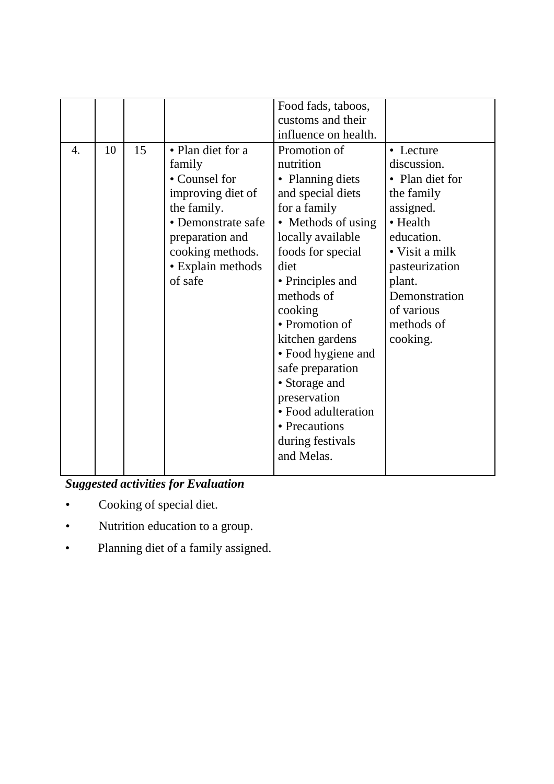|                  |    |    |                    | Food fads, taboos,   |                        |
|------------------|----|----|--------------------|----------------------|------------------------|
|                  |    |    |                    | customs and their    |                        |
|                  |    |    |                    |                      |                        |
|                  |    |    |                    | influence on health. |                        |
| $\overline{4}$ . | 10 | 15 | • Plan diet for a  | Promotion of         | • Lecture              |
|                  |    |    | family             | nutrition            | discussion.            |
|                  |    |    | • Counsel for      | • Planning diets     | • Plan diet for        |
|                  |    |    | improving diet of  | and special diets    | the family             |
|                  |    |    | the family.        | for a family         | assigned.              |
|                  |    |    | • Demonstrate safe | • Methods of using   | • Health               |
|                  |    |    | preparation and    | locally available    | education.             |
|                  |    |    | cooking methods.   | foods for special    | $\bullet$ Visit a milk |
|                  |    |    | · Explain methods  | diet                 | pasteurization         |
|                  |    |    | of safe            | • Principles and     | plant.                 |
|                  |    |    |                    | methods of           | Demonstration          |
|                  |    |    |                    | cooking              | of various             |
|                  |    |    |                    | • Promotion of       | methods of             |
|                  |    |    |                    | kitchen gardens      | cooking.               |
|                  |    |    |                    | • Food hygiene and   |                        |
|                  |    |    |                    | safe preparation     |                        |
|                  |    |    |                    | • Storage and        |                        |
|                  |    |    |                    | preservation         |                        |
|                  |    |    |                    | • Food adulteration  |                        |
|                  |    |    |                    | • Precautions        |                        |
|                  |    |    |                    | during festivals     |                        |
|                  |    |    |                    | and Melas.           |                        |
|                  |    |    |                    |                      |                        |

*Suggested activities for Evaluation*

- Cooking of special diet.
- Nutrition education to a group.
- Planning diet of a family assigned.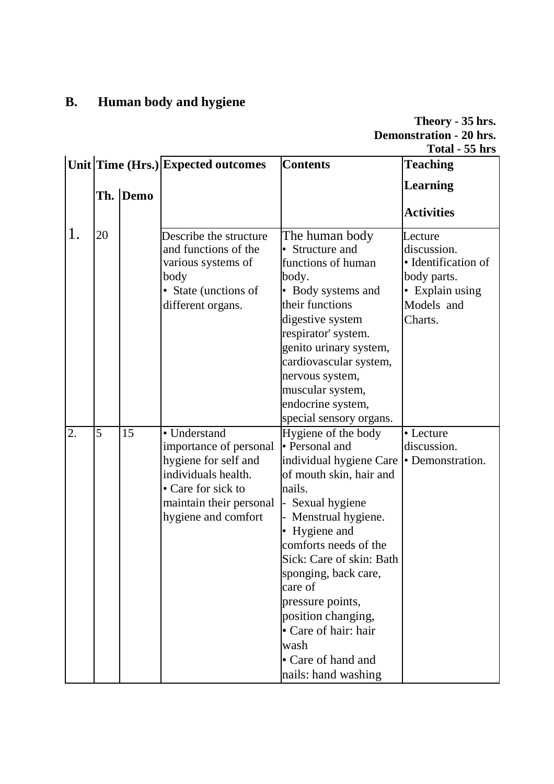# **B. Human body and hygiene**

**Theory - 35 hrs. Demonstration - 20 hrs. Total - 55 hrs**

|    |                |          | Unit Time (Hrs.) Expected outcomes                                                                                                                            | <b>Contents</b>                                                                                                                                                                                                                                                                                                                                                               | <b>Teaching</b>                                                                                          |
|----|----------------|----------|---------------------------------------------------------------------------------------------------------------------------------------------------------------|-------------------------------------------------------------------------------------------------------------------------------------------------------------------------------------------------------------------------------------------------------------------------------------------------------------------------------------------------------------------------------|----------------------------------------------------------------------------------------------------------|
|    |                |          |                                                                                                                                                               |                                                                                                                                                                                                                                                                                                                                                                               | <b>Learning</b>                                                                                          |
|    |                | Th. Demo |                                                                                                                                                               |                                                                                                                                                                                                                                                                                                                                                                               | <b>Activities</b>                                                                                        |
| 1. | 20             |          | Describe the structure<br>and functions of the<br>various systems of<br>body<br>• State (unctions of<br>different organs.                                     | The human body<br>• Structure and<br>functions of human<br>body.<br>• Body systems and<br>their functions<br>digestive system<br>respirator' system.<br>genito urinary system,<br>cardiovascular system,<br>nervous system,<br>muscular system,<br>endocrine system,<br>special sensory organs.                                                                               | Lecture<br>discussion.<br>· Identification of<br>body parts.<br>• Explain using<br>Models and<br>Charts. |
| 2. | $\overline{5}$ | 15       | • Understand<br>importance of personal<br>hygiene for self and<br>individuals health.<br>• Care for sick to<br>maintain their personal<br>hygiene and comfort | Hygiene of the body<br>• Personal and<br>individual hygiene Care<br>of mouth skin, hair and<br>nails.<br>Sexual hygiene<br>Menstrual hygiene.<br>• Hygiene and<br>comforts needs of the<br>Sick: Care of skin: Bath<br>sponging, back care,<br>care of<br>pressure points,<br>position changing,<br>• Care of hair: hair<br>wash<br>• Care of hand and<br>nails: hand washing | • Lecture<br>discussion.<br>• Demonstration.                                                             |